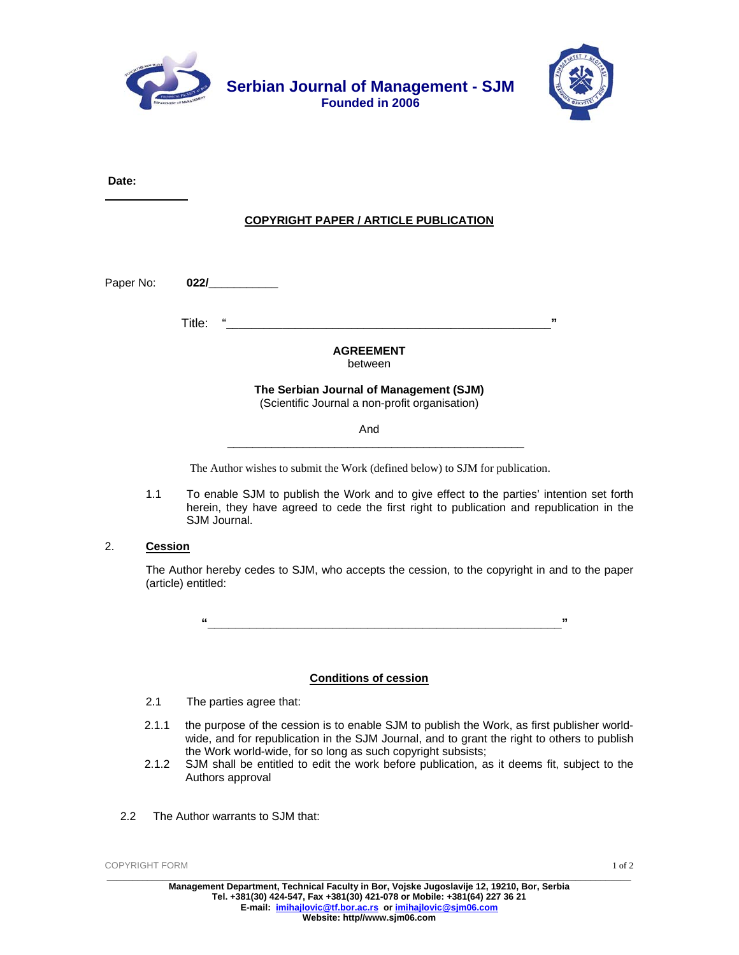



**Date:**

## **COPYRIGHT PAPER / ARTICLE PUBLICATION**

Paper No: **022/\_\_\_\_\_\_\_\_\_\_\_** 

Title: "**\_\_\_\_\_\_\_\_\_\_\_\_\_\_\_\_\_\_\_\_\_\_\_\_\_\_\_\_\_\_\_\_\_\_\_\_\_\_\_\_\_\_\_\_\_\_\_\_\_\_\_\_"** 

# **AGREEMENT**  between

#### **The Serbian Journal of Management (SJM)**  (Scientific Journal a non-profit organisation)

And

 $\overline{\phantom{a}}$  , which is a set of the set of the set of the set of the set of the set of the set of the set of the set of the set of the set of the set of the set of the set of the set of the set of the set of the set of th

The Author wishes to submit the Work (defined below) to SJM for publication.

1.1 To enable SJM to publish the Work and to give effect to the parties' intention set forth herein, they have agreed to cede the first right to publication and republication in the SJM Journal.

### 2. **Cession**

The Author hereby cedes to SJM, who accepts the cession, to the copyright in and to the paper (article) entitled:

 **"\_\_\_\_\_\_\_\_\_\_\_\_\_\_\_\_\_\_\_\_\_\_\_\_\_\_\_\_\_\_\_\_\_\_\_\_\_\_\_\_\_\_\_\_\_\_\_\_\_\_\_"** 

### **Conditions of cession**

- 2.1 The parties agree that:
- 2.1.1 the purpose of the cession is to enable SJM to publish the Work, as first publisher worldwide, and for republication in the SJM Journal, and to grant the right to others to publish the Work world-wide, for so long as such copyright subsists;
- 2.1.2 SJM shall be entitled to edit the work before publication, as it deems fit, subject to the Authors approval
- 2.2 The Author warrants to SJM that:

COPYRIGHT FORM \_\_\_\_\_\_\_\_\_\_\_\_\_\_\_\_\_\_\_\_\_\_\_\_\_\_\_\_\_\_\_\_\_\_\_\_\_\_\_\_\_\_\_\_\_\_\_\_\_\_\_\_\_\_\_\_\_\_\_\_\_\_\_\_\_\_\_\_\_\_\_\_\_\_\_\_\_\_\_\_\_\_\_\_\_\_\_\_\_\_\_\_\_\_\_\_\_\_\_\_\_\_\_\_